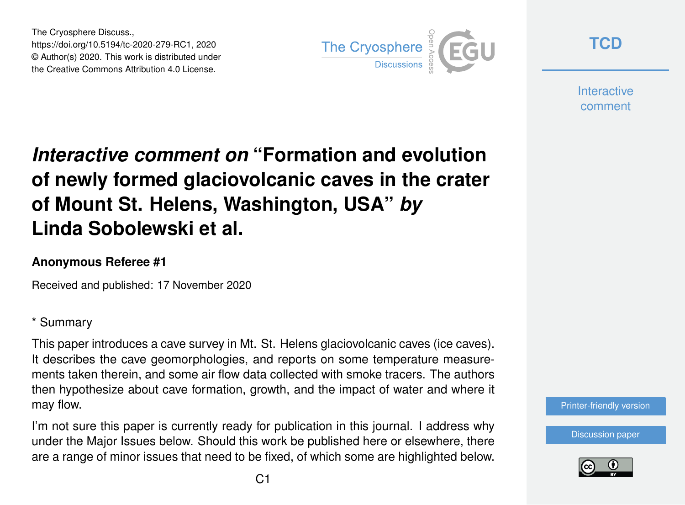The Cryosphere Discuss., https://doi.org/10.5194/tc-2020-279-RC1, 2020 © Author(s) 2020. This work is distributed under the Creative Commons Attribution 4.0 License.



**[TCD](https://tc.copernicus.org/preprints/)**

**Interactive** comment

## *Interactive comment on* **"Formation and evolution of newly formed glaciovolcanic caves in the crater of Mount St. Helens, Washington, USA"** *by* **Linda Sobolewski et al.**

## **Anonymous Referee #1**

Received and published: 17 November 2020

\* Summary

This paper introduces a cave survey in Mt. St. Helens glaciovolcanic caves (ice caves). It describes the cave geomorphologies, and reports on some temperature measurements taken therein, and some air flow data collected with smoke tracers. The authors then hypothesize about cave formation, growth, and the impact of water and where it may flow.

I'm not sure this paper is currently ready for publication in this journal. I address why under the Major Issues below. Should this work be published here or elsewhere, there are a range of minor issues that need to be fixed, of which some are highlighted below.



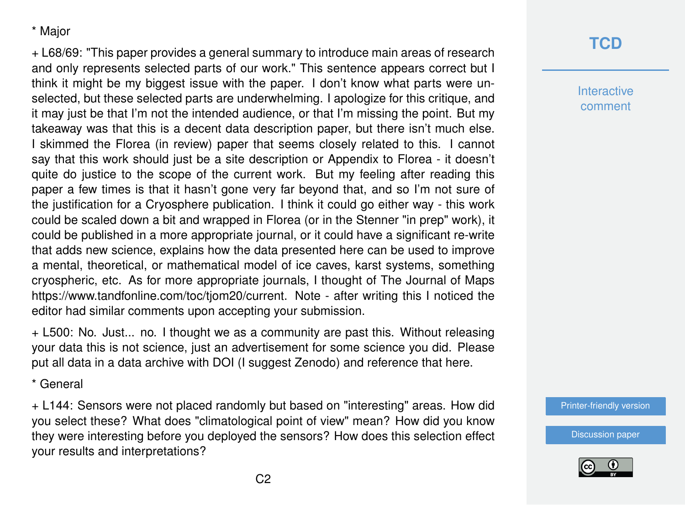## \* Major

+ L68/69: "This paper provides a general summary to introduce main areas of research and only represents selected parts of our work." This sentence appears correct but I think it might be my biggest issue with the paper. I don't know what parts were unselected, but these selected parts are underwhelming. I apologize for this critique, and it may just be that I'm not the intended audience, or that I'm missing the point. But my takeaway was that this is a decent data description paper, but there isn't much else. I skimmed the Florea (in review) paper that seems closely related to this. I cannot say that this work should just be a site description or Appendix to Florea - it doesn't quite do justice to the scope of the current work. But my feeling after reading this paper a few times is that it hasn't gone very far beyond that, and so I'm not sure of the justification for a Cryosphere publication. I think it could go either way - this work could be scaled down a bit and wrapped in Florea (or in the Stenner "in prep" work), it could be published in a more appropriate journal, or it could have a significant re-write that adds new science, explains how the data presented here can be used to improve a mental, theoretical, or mathematical model of ice caves, karst systems, something cryospheric, etc. As for more appropriate journals, I thought of The Journal of Maps https://www.tandfonline.com/toc/tjom20/current. Note - after writing this I noticed the editor had similar comments upon accepting your submission.

+ L500: No. Just... no. I thought we as a community are past this. Without releasing your data this is not science, just an advertisement for some science you did. Please put all data in a data archive with DOI (I suggest Zenodo) and reference that here.

\* General

+ L144: Sensors were not placed randomly but based on "interesting" areas. How did you select these? What does "climatological point of view" mean? How did you know they were interesting before you deployed the sensors? How does this selection effect your results and interpretations?

## **[TCD](https://tc.copernicus.org/preprints/)**

**Interactive** comment

[Printer-friendly version](https://tc.copernicus.org/preprints/tc-2020-279/tc-2020-279-RC1-print.pdf)

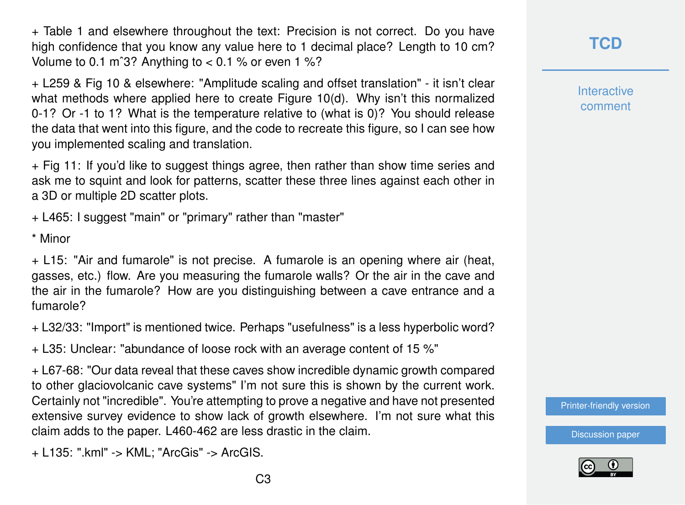+ Table 1 and elsewhere throughout the text: Precision is not correct. Do you have high confidence that you know any value here to 1 decimal place? Length to 10 cm? Volume to 0.1 m<sup>23</sup>? Anything to  $<$  0.1 % or even 1 %?

+ L259 & Fig 10 & elsewhere: "Amplitude scaling and offset translation" - it isn't clear what methods where applied here to create Figure 10(d). Why isn't this normalized 0-1? Or -1 to 1? What is the temperature relative to (what is 0)? You should release the data that went into this figure, and the code to recreate this figure, so I can see how you implemented scaling and translation.

+ Fig 11: If you'd like to suggest things agree, then rather than show time series and ask me to squint and look for patterns, scatter these three lines against each other in a 3D or multiple 2D scatter plots.

+ L465: I suggest "main" or "primary" rather than "master"

\* Minor

+ L15: "Air and fumarole" is not precise. A fumarole is an opening where air (heat, gasses, etc.) flow. Are you measuring the fumarole walls? Or the air in the cave and the air in the fumarole? How are you distinguishing between a cave entrance and a fumarole?

+ L32/33: "Import" is mentioned twice. Perhaps "usefulness" is a less hyperbolic word?

+ L35: Unclear: "abundance of loose rock with an average content of 15 %"

+ L67-68: "Our data reveal that these caves show incredible dynamic growth compared to other glaciovolcanic cave systems" I'm not sure this is shown by the current work. Certainly not "incredible". You're attempting to prove a negative and have not presented extensive survey evidence to show lack of growth elsewhere. I'm not sure what this claim adds to the paper. L460-462 are less drastic in the claim.

+ L135: ".kml" -> KML; "ArcGis" -> ArcGIS.

**[TCD](https://tc.copernicus.org/preprints/)**

**Interactive** comment

[Printer-friendly version](https://tc.copernicus.org/preprints/tc-2020-279/tc-2020-279-RC1-print.pdf)

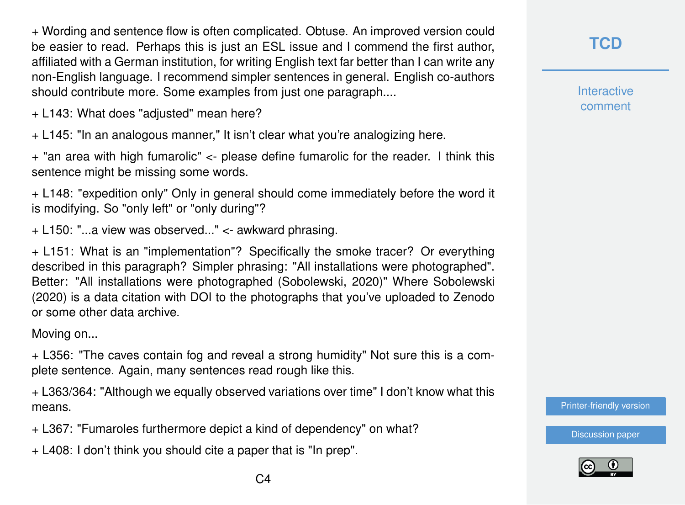+ Wording and sentence flow is often complicated. Obtuse. An improved version could be easier to read. Perhaps this is just an ESL issue and I commend the first author, affiliated with a German institution, for writing English text far better than I can write any non-English language. I recommend simpler sentences in general. English co-authors should contribute more. Some examples from just one paragraph....

+ L143: What does "adjusted" mean here?

+ L145: "In an analogous manner," It isn't clear what you're analogizing here.

+ "an area with high fumarolic" <- please define fumarolic for the reader. I think this sentence might be missing some words.

+ L148: "expedition only" Only in general should come immediately before the word it is modifying. So "only left" or "only during"?

+ L150: "...a view was observed..." <- awkward phrasing.

+ L151: What is an "implementation"? Specifically the smoke tracer? Or everything described in this paragraph? Simpler phrasing: "All installations were photographed". Better: "All installations were photographed (Sobolewski, 2020)" Where Sobolewski (2020) is a data citation with DOI to the photographs that you've uploaded to Zenodo or some other data archive.

Moving on...

+ L356: "The caves contain fog and reveal a strong humidity" Not sure this is a complete sentence. Again, many sentences read rough like this.

+ L363/364: "Although we equally observed variations over time" I don't know what this means.

+ L367: "Fumaroles furthermore depict a kind of dependency" on what?

+ L408: I don't think you should cite a paper that is "In prep".

**Interactive** comment

[Printer-friendly version](https://tc.copernicus.org/preprints/tc-2020-279/tc-2020-279-RC1-print.pdf)